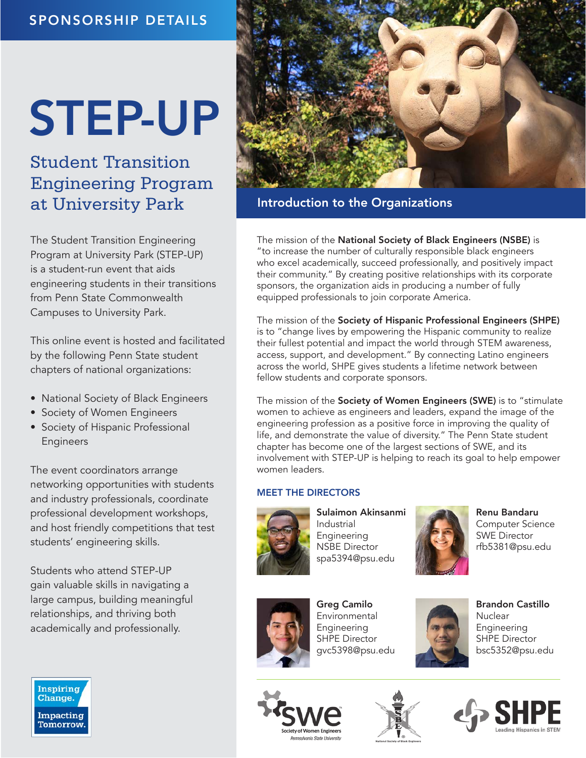# STEP-UP

Student Transition Engineering Program at University Park

The Student Transition Engineering Program at University Park (STEP-UP) is a student-run event that aids engineering students in their transitions from Penn State Commonwealth Campuses to University Park.

This online event is hosted and facilitated by the following Penn State student chapters of national organizations:

- National Society of Black Engineers
- Society of Women Engineers
- Society of Hispanic Professional Engineers

The event coordinators arrange networking opportunities with students and industry professionals, coordinate professional development workshops, and host friendly competitions that test students' engineering skills.

Students who attend STEP-UP gain valuable skills in navigating a large campus, building meaningful relationships, and thriving both academically and professionally.



## Introduction to the Organizations

The mission of the National Society of Black Engineers (NSBE) is "to increase the number of culturally responsible black engineers who excel academically, succeed professionally, and positively impact their community." By creating positive relationships with its corporate sponsors, the organization aids in producing a number of fully equipped professionals to join corporate America.

The mission of the Society of Hispanic Professional Engineers (SHPE) is to "change lives by empowering the Hispanic community to realize their fullest potential and impact the world through STEM awareness, access, support, and development." By connecting Latino engineers across the world, SHPE gives students a lifetime network between fellow students and corporate sponsors.

The mission of the Society of Women Engineers (SWE) is to "stimulate women to achieve as engineers and leaders, expand the image of the engineering profession as a positive force in improving the quality of life, and demonstrate the value of diversity." The Penn State student chapter has become one of the largest sections of SWE, and its involvement with STEP-UP is helping to reach its goal to help empower women leaders.

### MEET THE DIRECTORS



Sulaimon Akinsanmi Industrial Engineering NSBE Director spa5394@psu.edu



Renu Bandaru Computer Science SWE Director rfb5381@psu.edu



Greg Camilo Environmental Engineering SHPE Director gvc5398@psu.edu



Brandon Castillo **Nuclear** Engineering SHPE Director bsc5352@psu.edu